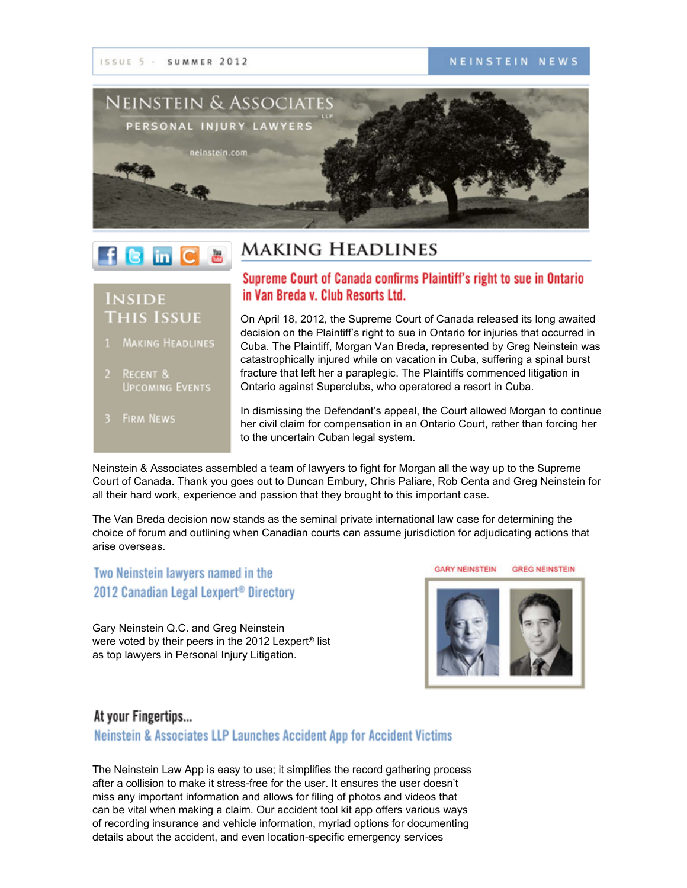

# $f$  **B** in  $C$

### **MAKING HEADLINES**

### **INSIDE THIS ISSUE**

- MAKING HEADLINES
- 2 RECENT & **UPCOMING EVENTS**
- 3 FIRM NEWS

### Supreme Court of Canada confirms Plaintiff's right to sue in Ontario in Van Breda v. Club Resorts Ltd.

On April 18, 2012, the Supreme Court of Canada released its long awaited decision on the Plaintiff's right to sue in Ontario for injuries that occurred in Cuba. The Plaintiff, Morgan Van Breda, represented by Greg Neinstein was catastrophically injured while on vacation in Cuba, suffering a spinal burst fracture that left her a paraplegic. The Plaintiffs commenced litigation in Ontario against Superclubs, who operatored a resort in Cuba.

In dismissing the Defendant's appeal, the Court allowed Morgan to continue her civil claim for compensation in an Ontario Court, rather than forcing her to the uncertain Cuban legal system.

Neinstein & Associates assembled a team of lawyers to fight for Morgan all the way up to the Supreme Court of Canada. Thank you goes out to Duncan Embury, Chris Paliare, Rob Centa and Greg Neinstein for all their hard work, experience and passion that they brought to this important case.

The Van Breda decision now stands as the seminal private international law case for determining the choice of forum and outlining when Canadian courts can assume jurisdiction for adjudicating actions that arise overseas.

### Two Neinstein lawyers named in the 2012 Canadian Legal Lexpert<sup>®</sup> Directory

Gary Neinstein Q.C. and Greg Neinstein were voted by their peers in the 2012 Lexpert® list as top lawyers in Personal Injury Litigation.



**GREG NEINSTEIN** 

**GARY NEINSTEIN** 

#### At your Fingertips...

Neinstein & Associates LLP Launches Accident App for Accident Victims

The Neinstein Law App is easy to use; it simplifies the record gathering process after a collision to make it stress-free for the user. It ensures the user doesn't miss any important information and allows for filing of photos and videos that can be vital when making a claim. Our accident tool kit app offers various ways of recording insurance and vehicle information, myriad options for documenting details about the accident, and even location-specific emergency services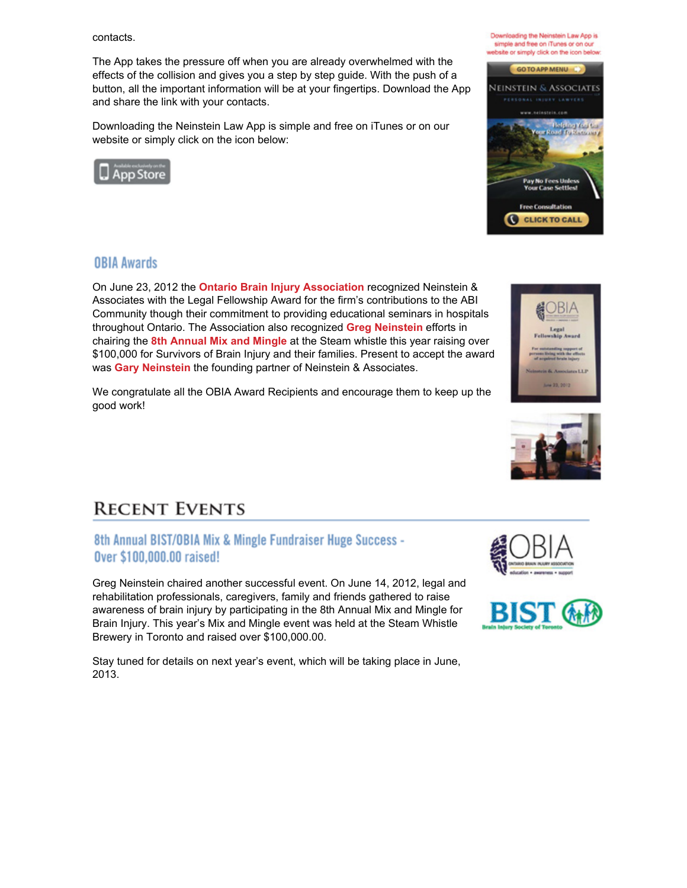contacts.

The App takes the pressure off when you are already overwhelmed with the effects of the collision and gives you a step by step guide. With the push of a button, all the important information will be at your fingertips. Download the App and share the link with your contacts.

Downloading the Neinstein Law App is simple and free on iTunes or on our website or simply click on the icon below:



### **OBIA Awards**

On June 23, 2012 the **Ontario Brain Injury [Association](http://www.obia.ca/)** recognized Neinstein & Associates with the Legal Fellowship Award for the firm's contributions to the ABI Community though their commitment to providing educational seminars in hospitals throughout Ontario. The Association also recognized **Greg [Neinstein](http://www.neinstein.com/greg_neinstein/)** efforts in chairing the **8th [Annual](http://www.facebook.com/media/set/?set=a.10151860317450301.867595.384490450300&type=3) Mix and Mingle** at the Steam whistle this year raising over \$100,000 for Survivors of Brain Injury and their families. Present to accept the award was **Gary [Neinstein](http://www.neinstein.com/gary_neinstein/)** the founding partner of Neinstein & Associates.

We congratulate all the OBIA Award Recipients and encourage them to keep up the good work!

## **RECENT EVENTS**

#### 8th Annual BIST/OBIA Mix & Mingle Fundraiser Huge Success -Over \$100,000.00 raised!

Greg Neinstein chaired another successful event. On June 14, 2012, legal and rehabilitation professionals, caregivers, family and friends gathered to raise awareness of brain injury by participating in the 8th Annual Mix and Mingle for Brain Injury. This year's Mix and Mingle event was held at the Steam Whistle Brewery in Toronto and raised over \$100,000.00.

Stay tuned for details on next year's event, which will be taking place in June, 2013.











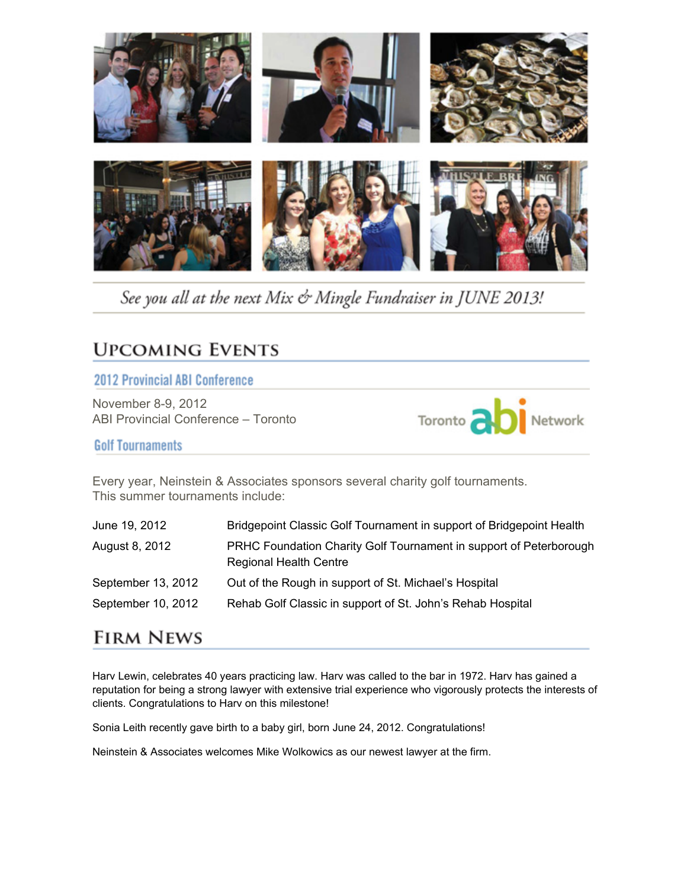

See you all at the next Mix & Mingle Fundraiser in JUNE 2013!

## **UPCOMING EVENTS**

#### **2012 Provincial ABI Conference**

November 8-9, 2012 ABI Provincial Conference – Toronto



**Golf Tournaments** 

Every year, Neinstein & Associates sponsors several charity golf tournaments. This summer tournaments include:

| June 19, 2012      | Bridgepoint Classic Golf Tournament in support of Bridgepoint Health                                |
|--------------------|-----------------------------------------------------------------------------------------------------|
| August 8, 2012     | PRHC Foundation Charity Golf Tournament in support of Peterborough<br><b>Regional Health Centre</b> |
| September 13, 2012 | Out of the Rough in support of St. Michael's Hospital                                               |
| September 10, 2012 | Rehab Golf Classic in support of St. John's Rehab Hospital                                          |

## **FIRM NEWS**

Harv Lewin, celebrates 40 years practicing law. Harv was called to the bar in 1972. Harv has gained a reputation for being a strong lawyer with extensive trial experience who vigorously protects the interests of clients. Congratulations to Harv on this milestone!

Sonia Leith recently gave birth to a baby girl, born June 24, 2012. Congratulations!

Neinstein & Associates welcomes Mike Wolkowics as our newest lawyer at the firm.